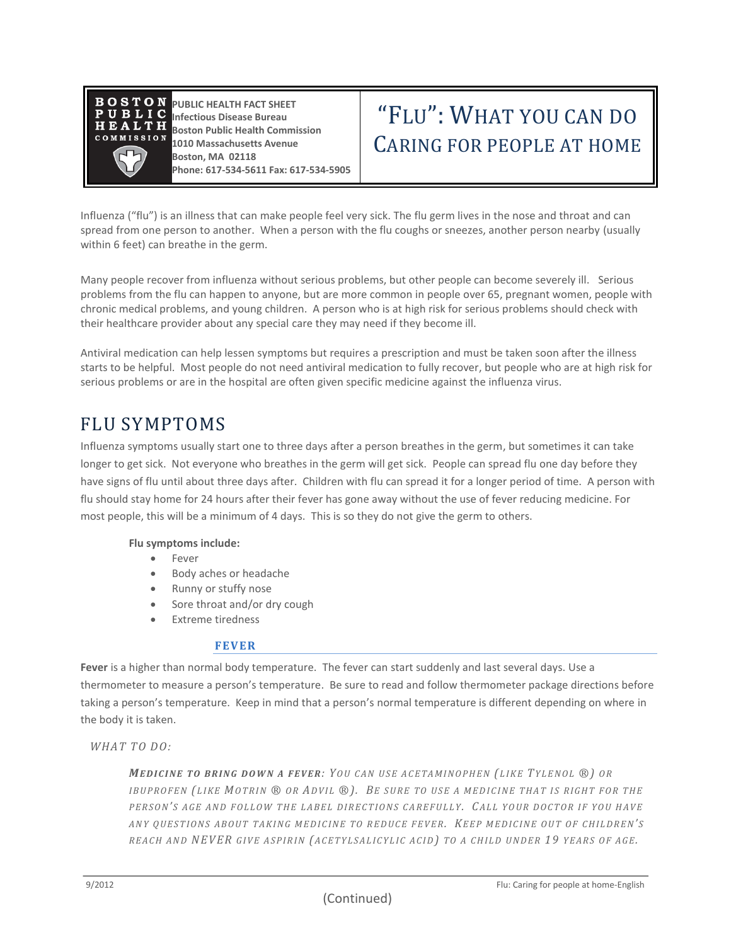

**PUBLIC HEALTH FACT SHEET Infectious Disease Bureau Boston Public Health Commission 1010 Massachusetts Avenue Boston, MA 02118 Phone: 617-534-5611 Fax: 617-534-5905**

# "FLU" : WHAT YOU CAN DO CARING FOR PEOPLE AT HOME

Influenza ("flu") is an illness that can make people feel very sick. The flu germ lives in the nose and throat and can spread from one person to another. When a person with the flu coughs or sneezes, another person nearby (usually within 6 feet) can breathe in the germ.

Many people recover from influenza without serious problems, but other people can become severely ill. Serious problems from the flu can happen to anyone, but are more common in people over 65, pregnant women, people with chronic medical problems, and young children. A person who is at high risk for serious problems should check with their healthcare provider about any special care they may need if they become ill.

Antiviral medication can help lessen symptoms but requires a prescription and must be taken soon after the illness starts to be helpful. Most people do not need antiviral medication to fully recover, but people who are at high risk for serious problems or are in the hospital are often given specific medicine against the influenza virus.

# FLU SYMPTOMS

Influenza symptoms usually start one to three days after a person breathes in the germ, but sometimes it can take longer to get sick. Not everyone who breathes in the germ will get sick. People can spread flu one day before they have signs of flu until about three days after. Children with flu can spread it for a longer period of time. A person with flu should stay home for 24 hours after their fever has gone away without the use of fever reducing medicine. For most people, this will be a minimum of 4 days. This is so they do not give the germ to others.

#### **Flu symptoms include:**

- Fever
- Body aches or headache
- Runny or stuffy nose
- Sore throat and/or dry cough
- Extreme tiredness

#### **FEVER**

Fever is a higher than normal body temperature. The fever can start suddenly and last several days. Use a thermometer to measure a person's temperature. Be sure to read and follow thermometer package directions before taking a person's temperature. Keep in mind that a person's normal temperature is different depending on where in the body it is taken.

*WHAT TO DO:* 

*MEDICINE TO BRING DOWN A FEVER: YOU CAN USE ACETAMINOPHEN (LIKE TYLENOL ®) OR* IBUPROFEN (LIKE MOTRIN ® OR ADVIL ®). BE SURE TO USE A MEDICINE THAT IS RIGHT FOR THE *P E R S O N' S A G E A N D F O L L O W T H E L A B E L D I R E C T I O N S C A R E F U L L Y. CA L L Y O U R D O C T O R I F Y O U HA V E A N Y Q U E S T I O N S A B O U T T A K I N G M E D I C I N E T O R E D U C E F E V E R. KE E P M E D I C I N E O U T O F C H I L D R E N' S R E A C H A N D N EV ER G I V E A S P I R I N (A C E T Y L S A L I C Y L I C A C I D) T O A C H I L D U N D E R 19 Y E A R S O F A G E.*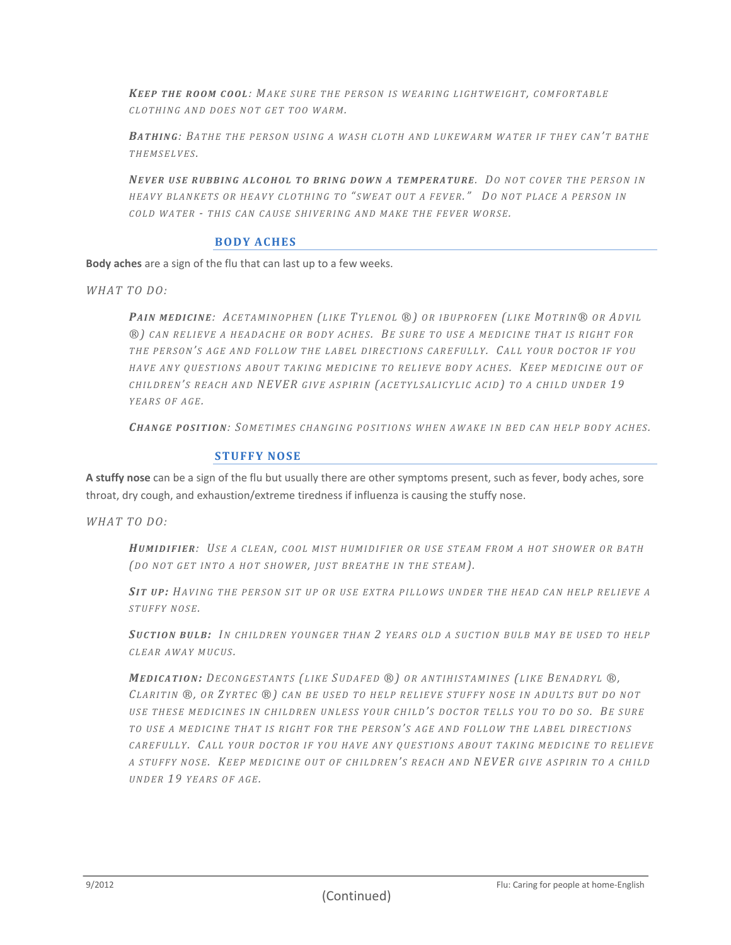*KEEP THE ROOM COOL: MAKE SURE THE PERSON IS WEARING LIGHTWEIGHT, COMFORTABLE C L O T H I N G A N D D O E S N OT G E T T O O W A R M.*

**BATHING**: BATHE THE PERSON USING A WASH CLOTH AND LUKEWARM WATER IF THEY CAN'T BATHE *T H E M S E L V E S .* 

*NE V E R U S E R U B B I N G A L CO H O L T O B R I N G D O W N A T E M P E R A T U R E. DO N O T C O V E R T H E P E R SO N I N H E A V Y B L A N K E T S O R H EA V Y C L O T H I N G TO " S W E A T O U T A F E V E R. " DO N O T P L A C E A P E R S O N I N C O L D W A T E R - T H I S C A N C A U S E S H I V E R I N G A N D M A K E T H E F E V E R WO R S E.*

#### **BO DY AC HES**

**Body aches** are a sign of the flu that can last up to a few weeks.

*WH AT TO DO :*

PAIN MEDICINE: ACETAMINOPHEN (LIKE TYLENOL ®) OR IBUPROFEN (LIKE MOTRIN® OR ADVIL *®) C A N R E L I E V E A H E A D A CH E O R B O D Y A C H ES. BE S U R E T O U S E A M E D I C I N E T H A T I S R I G H T FO R T H E P E R S O N' S A G E A N D F O L L O W T H E L A B E L D I R E C T I O N S C A R E F U L L Y. CA L L Y O U R D O C T O R I F Y O U H A V E A N Y Q U E S T I O N S A B O U T T A K I N G M E D I C I NE T O R E L I E V E B O D Y A CH E S. KE E P M E D I C I N E O U T O F C H I L D R E N' S R E A C H A N D N EVER G I V E A S P I R I N (A C E T Y L S A L I C Y L I C A C I D) T O A C H I L D U N D E R 19 Y E A R S O F A G E.* 

*CH A N G E P O S I T I O N: SO M E T I M E S C H A N G I N G P O S I T I O N S W H E N A W A K E IN B E D C A N H E L P B O D Y A C H E S.* 

#### **STUFFY NOSE**

**A stuffy nose** can be a sign of the flu but usually there are other symptoms present, such as fever, body aches, sore throat, dry cough, and exhaustion/extreme tiredness if influenza is causing the stuffy nose.

*WH AT TO DO :*

*HU M I D I F I E R: US E A C L E A N, C O O L M I S T H U M I D I F I E R O R US E S T E A M F R O M A H O T S H O W E R O R B A T H (DO NOT GET INTO A HOT SHOWER, JUST BREATHE IN THE STEAM).* 

*SI T U P: HA V I N G T H E P E R S O N S I T U P O R U SE E X T R A P I L L O W S U N D E R T H E H E A D C A N H E L P R E L I E V E A S T U F F Y N O S E.* 

**SUCTION BULB:** IN CHILDREN YOUNGER THAN 2 YEARS OLD A SUCTION BULB MAY BE USED TO HELP *C L E A R A W A Y M U C U S .*

MEDICATION: DECONGESTANTS (LIKE SUDAFED ®) OR ANTIHISTAMINES (LIKE BENADRYL ®, *CL A R I T I N ®, O R ZY R T E C ®) C A N B E U S E D T O H E L P R E L I E V E S T U F F Y N O S E I N A D U L T S B U T D O N O T USE THESE MEDICINES IN CHILDREN UNLESS YOUR CHILD'S DOCTOR TELLS YOU TO DO SO.* BE SURE *T O U S E A M E D I C I N E T HA T I S R I G H T F O R T H E P E R S O N' S A G E A N D F O L L O W T H E L A B E L D I R E C T I O N S CAREFULLY. CALL YOUR DOCTOR IF YOU HAVE ANY OUESTIONS ABOUT TAKING MEDICINE TO RELIEVE A S T U F F Y N O SE. KE E P M E D I C I N E O U T O F C H I L D R E N' S R E A C H A N D N EV ER G I V E A S P I R I N T O A C HI L D U N D E R 1 9 Y E A R S O F A G E.*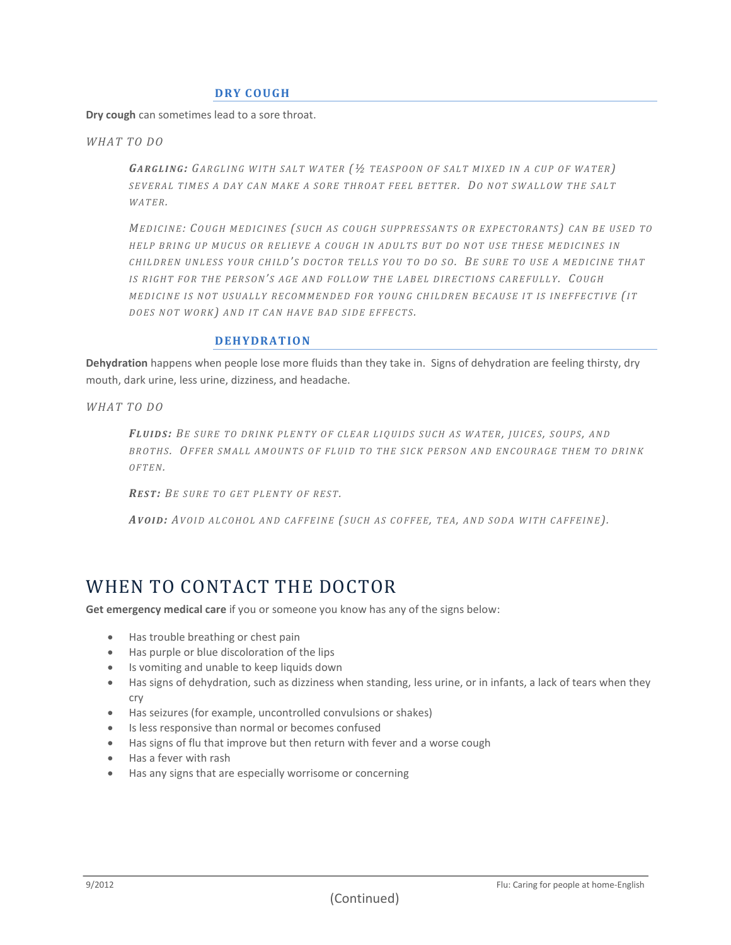#### **DRY C OUGH**

**Dry cough** can sometimes lead to a sore throat.

*WH AT TO DO*

*GA R G L I N G: GA R G L I N G W I T H S A L T W A T E R (½ T E A S P O O N O F S A L T M I X E D I N A C U P O F W A T E R ) SE V E R A L T I M E S A D A Y CA N M A K E A S O R E T H R O AT F E E L B E T T E R. DO N O T S W A L L O W T H E S AL T W A T E R.* 

*ME D I C I N E: CO U G H M E D I C I N E S ( S U C H A S C O U G H S U P P R E S S A N T S OR E X P E C T O R A N T S ) C A N B E U S E D T O H E L P B R I N G U P M U C U S O R R E L I E V E A C O U G H I N A D U L T S B U T D O N O T U S E T H E S E M E D I C I N E S IN C H I L D R E N U N L E S S Y O U R C H I L D' S D O C T O R T E L L S Y O U TO D O S O. BE S U R E T O U S E A M E D I C I N E T H A T I S R I G H T F O R T H E P E R S O N' S A G E A N D F O L L O W T H E L A B E L D I R E C T I O N S C A RE F U L L Y. CO U G H MEDICINE IS NOT USUALLY RECOMMENDED FOR YOUNG CHILDREN BECAUSE IT IS INEFFECTIVE (IT DOES NOT WORK*<sup> $)$ </sup> *AND IT CAN HAVE BAD SIDE EFFECTS.* 

#### **DEHYDRATIO N**

**Dehydration** happens when people lose more fluids than they take in. Signs of dehydration are feeling thirsty, dry mouth, dark urine, less urine, dizziness, and headache.

*WH AT TO DO*

*FL U I D S : BE S U R E T O D R I N K P L E NT Y O F C L E A R L I Q U I D S S U C H A S W A T E R, J U I C E S , S O U P S, A N D B R O T H S . OF F E R S M A L L A M O U N T S O F F L U I D T O T H E S I C K P E R S O N A N D E N C O U R A G E T H E M T O D R I N K O F T E N.* 

*RE S T: BE S U R E T O G E T P L E N T Y O F R E S T.* 

AVOID: AVOID ALCOHOL AND CAFFEINE (SUCH AS COFFEE, TEA, AND SODA WITH CAFFEINE).

### WHEN TO CONTACT THE DOCTOR

**Get emergency medical care** if you or someone you know has any of the signs below:

- Has trouble breathing or chest pain
- Has purple or blue discoloration of the lips
- Is vomiting and unable to keep liquids down
- Has signs of dehydration, such as dizziness when standing, less urine, or in infants, a lack of tears when they cry
- Has seizures (for example, uncontrolled convulsions or shakes)
- Is less responsive than normal or becomes confused
- Has signs of flu that improve but then return with fever and a worse cough
- Has a fever with rash
- Has any signs that are especially worrisome or concerning